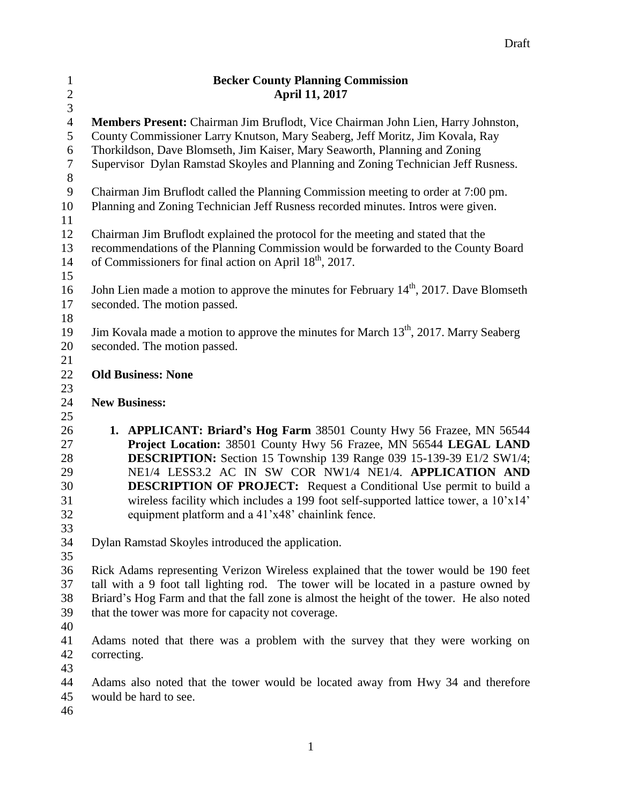| $\mathbf{1}$     | <b>Becker County Planning Commission</b>                                                         |
|------------------|--------------------------------------------------------------------------------------------------|
| $\sqrt{2}$       | <b>April 11, 2017</b>                                                                            |
| $\overline{3}$   |                                                                                                  |
| $\overline{4}$   | <b>Members Present:</b> Chairman Jim Bruflodt, Vice Chairman John Lien, Harry Johnston,          |
| 5                | County Commissioner Larry Knutson, Mary Seaberg, Jeff Moritz, Jim Kovala, Ray                    |
| 6                | Thorkildson, Dave Blomseth, Jim Kaiser, Mary Seaworth, Planning and Zoning                       |
| $\boldsymbol{7}$ | Supervisor Dylan Ramstad Skoyles and Planning and Zoning Technician Jeff Rusness.                |
| $8\,$            |                                                                                                  |
| 9                | Chairman Jim Bruflodt called the Planning Commission meeting to order at 7:00 pm.                |
| 10<br>11         | Planning and Zoning Technician Jeff Rusness recorded minutes. Intros were given.                 |
| 12               | Chairman Jim Bruflodt explained the protocol for the meeting and stated that the                 |
| 13               | recommendations of the Planning Commission would be forwarded to the County Board                |
| 14               | of Commissioners for final action on April 18 <sup>th</sup> , 2017.                              |
| 15               |                                                                                                  |
| 16               | John Lien made a motion to approve the minutes for February $14th$ , 2017. Dave Blomseth         |
| 17               | seconded. The motion passed.                                                                     |
| 18               |                                                                                                  |
| 19               | Jim Kovala made a motion to approve the minutes for March 13 <sup>th</sup> , 2017. Marry Seaberg |
| 20               | seconded. The motion passed.                                                                     |
| 21               |                                                                                                  |
| 22               | <b>Old Business: None</b>                                                                        |
| 23               |                                                                                                  |
| 24               | <b>New Business:</b>                                                                             |
| 25               |                                                                                                  |
| 26               | 1. APPLICANT: Briard's Hog Farm 38501 County Hwy 56 Frazee, MN 56544                             |
| 27               | Project Location: 38501 County Hwy 56 Frazee, MN 56544 LEGAL LAND                                |
| 28               | <b>DESCRIPTION:</b> Section 15 Township 139 Range 039 15-139-39 E1/2 SW1/4;                      |
| 29               | NE1/4 LESS3.2 AC IN SW COR NW1/4 NE1/4. APPLICATION AND                                          |
| 30               | <b>DESCRIPTION OF PROJECT:</b> Request a Conditional Use permit to build a                       |
| 31               | wireless facility which includes a 199 foot self-supported lattice tower, a 10'x14'              |
| 32               | equipment platform and a 41'x48' chainlink fence.                                                |
| 33               |                                                                                                  |
| 34<br>35         | Dylan Ramstad Skoyles introduced the application.                                                |
| 36               | Rick Adams representing Verizon Wireless explained that the tower would be 190 feet              |
| 37               | tall with a 9 foot tall lighting rod. The tower will be located in a pasture owned by            |
| 38               | Briard's Hog Farm and that the fall zone is almost the height of the tower. He also noted        |
| 39               | that the tower was more for capacity not coverage.                                               |
| 40               |                                                                                                  |
| 41               | Adams noted that there was a problem with the survey that they were working on                   |
| 42               | correcting.                                                                                      |
| 43               |                                                                                                  |
| 44               | Adams also noted that the tower would be located away from Hwy 34 and therefore                  |
| 45               | would be hard to see.                                                                            |
| 46               |                                                                                                  |
|                  |                                                                                                  |

Draft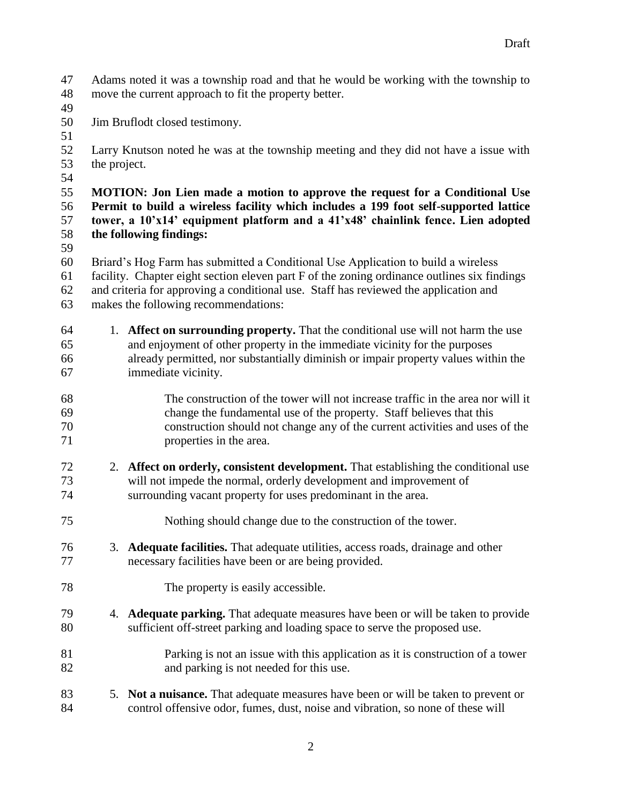Adams noted it was a township road and that he would be working with the township to move the current approach to fit the property better.

- 
- Jim Bruflodt closed testimony.
- 

- Larry Knutson noted he was at the township meeting and they did not have a issue with the project.
- 

 **MOTION: Jon Lien made a motion to approve the request for a Conditional Use Permit to build a wireless facility which includes a 199 foot self-supported lattice tower, a 10'x14' equipment platform and a 41'x48' chainlink fence. Lien adopted the following findings:**

Briard's Hog Farm has submitted a Conditional Use Application to build a wireless

- facility. Chapter eight section eleven part F of the zoning ordinance outlines six findings
- and criteria for approving a conditional use. Staff has reviewed the application and makes the following recommendations:
- 1. **Affect on surrounding property.** That the conditional use will not harm the use and enjoyment of other property in the immediate vicinity for the purposes already permitted, nor substantially diminish or impair property values within the immediate vicinity.
- The construction of the tower will not increase traffic in the area nor will it change the fundamental use of the property. Staff believes that this construction should not change any of the current activities and uses of the properties in the area.
- 2. **Affect on orderly, consistent development.** That establishing the conditional use will not impede the normal, orderly development and improvement of surrounding vacant property for uses predominant in the area.
- Nothing should change due to the construction of the tower.
- 3. **Adequate facilities.** That adequate utilities, access roads, drainage and other necessary facilities have been or are being provided.
- The property is easily accessible.
- 4. **Adequate parking.** That adequate measures have been or will be taken to provide sufficient off-street parking and loading space to serve the proposed use.
- Parking is not an issue with this application as it is construction of a tower and parking is not needed for this use.
- 5. **Not a nuisance.** That adequate measures have been or will be taken to prevent or control offensive odor, fumes, dust, noise and vibration, so none of these will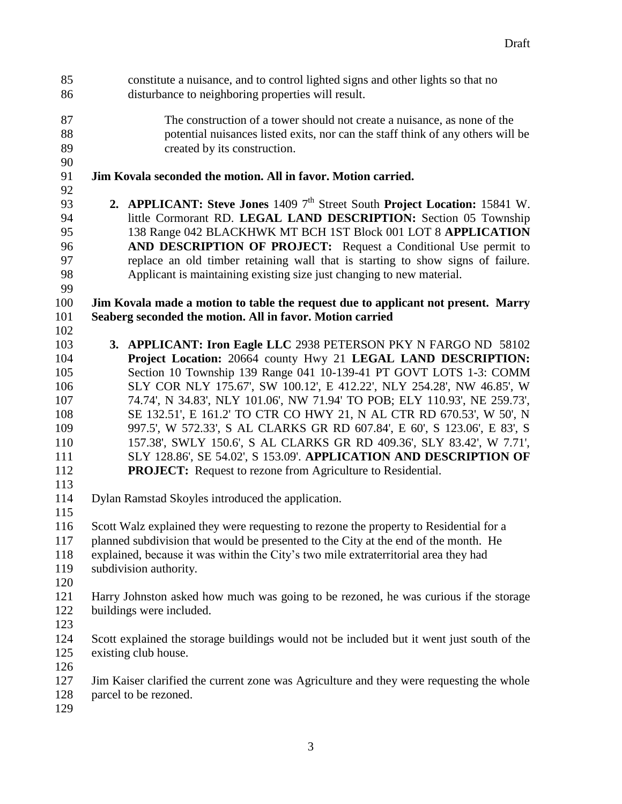constitute a nuisance, and to control lighted signs and other lights so that no disturbance to neighboring properties will result. The construction of a tower should not create a nuisance, as none of the potential nuisances listed exits, nor can the staff think of any others will be created by its construction. **Jim Kovala seconded the motion. All in favor. Motion carried. 2. APPLICANT: Steve Jones** 1409 7<sup>th</sup> Street South **Project Location:** 15841 W. little Cormorant RD. **LEGAL LAND DESCRIPTION:** Section 05 Township 138 Range 042 BLACKHWK MT BCH 1ST Block 001 LOT 8 **APPLICATION AND DESCRIPTION OF PROJECT:** Request a Conditional Use permit to replace an old timber retaining wall that is starting to show signs of failure. Applicant is maintaining existing size just changing to new material. **Jim Kovala made a motion to table the request due to applicant not present. Marry Seaberg seconded the motion. All in favor. Motion carried 3. APPLICANT: Iron Eagle LLC** 2938 PETERSON PKY N FARGO ND 58102 **Project Location:** 20664 county Hwy 21 **LEGAL LAND DESCRIPTION:** Section 10 Township 139 Range 041 10-139-41 PT GOVT LOTS 1-3: COMM SLY COR NLY 175.67', SW 100.12', E 412.22', NLY 254.28', NW 46.85', W 74.74', N 34.83', NLY 101.06', NW 71.94' TO POB; ELY 110.93', NE 259.73', SE 132.51', E 161.2' TO CTR CO HWY 21, N AL CTR RD 670.53', W 50', N 997.5', W 572.33', S AL CLARKS GR RD 607.84', E 60', S 123.06', E 83', S 157.38', SWLY 150.6', S AL CLARKS GR RD 409.36', SLY 83.42', W 7.71', SLY 128.86', SE 54.02', S 153.09'. **APPLICATION AND DESCRIPTION OF PROJECT:** Request to rezone from Agriculture to Residential. Dylan Ramstad Skoyles introduced the application. Scott Walz explained they were requesting to rezone the property to Residential for a planned subdivision that would be presented to the City at the end of the month. He explained, because it was within the City's two mile extraterritorial area they had subdivision authority. Harry Johnston asked how much was going to be rezoned, he was curious if the storage buildings were included. Scott explained the storage buildings would not be included but it went just south of the existing club house. Jim Kaiser clarified the current zone was Agriculture and they were requesting the whole parcel to be rezoned.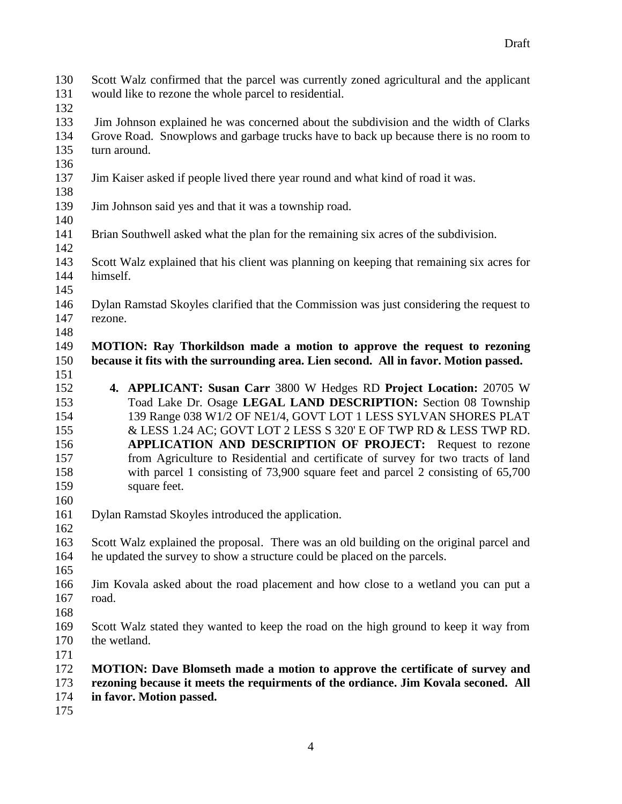Scott Walz confirmed that the parcel was currently zoned agricultural and the applicant would like to rezone the whole parcel to residential.

 Jim Johnson explained he was concerned about the subdivision and the width of Clarks Grove Road. Snowplows and garbage trucks have to back up because there is no room to turn around.

- Jim Kaiser asked if people lived there year round and what kind of road it was.
- Jim Johnson said yes and that it was a township road.

- Brian Southwell asked what the plan for the remaining six acres of the subdivision.
- Scott Walz explained that his client was planning on keeping that remaining six acres for himself.
- 
- Dylan Ramstad Skoyles clarified that the Commission was just considering the request to rezone.
- **MOTION: Ray Thorkildson made a motion to approve the request to rezoning because it fits with the surrounding area. Lien second. All in favor. Motion passed.**
- 

- **4. APPLICANT: Susan Carr** 3800 W Hedges RD **Project Location:** 20705 W Toad Lake Dr. Osage **LEGAL LAND DESCRIPTION:** Section 08 Township 139 Range 038 W1/2 OF NE1/4, GOVT LOT 1 LESS SYLVAN SHORES PLAT & LESS 1.24 AC; GOVT LOT 2 LESS S 320' E OF TWP RD & LESS TWP RD. **APPLICATION AND DESCRIPTION OF PROJECT:** Request to rezone from Agriculture to Residential and certificate of survey for two tracts of land with parcel 1 consisting of 73,900 square feet and parcel 2 consisting of 65,700 square feet.
- Dylan Ramstad Skoyles introduced the application.
- 

- Scott Walz explained the proposal. There was an old building on the original parcel and he updated the survey to show a structure could be placed on the parcels.
- 
- Jim Kovala asked about the road placement and how close to a wetland you can put a road.
- 
- Scott Walz stated they wanted to keep the road on the high ground to keep it way from the wetland.
- 
- **MOTION: Dave Blomseth made a motion to approve the certificate of survey and rezoning because it meets the requirments of the ordiance. Jim Kovala seconed. All in favor. Motion passed.**
-